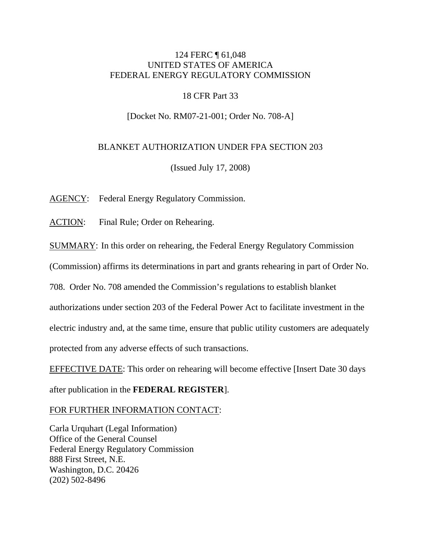# 124 FERC ¶ 61,048 UNITED STATES OF AMERICA FEDERAL ENERGY REGULATORY COMMISSION

# 18 CFR Part 33

# [Docket No. RM07-21-001; Order No. 708-A]

## BLANKET AUTHORIZATION UNDER FPA SECTION 203

(Issued July 17, 2008)

AGENCY: Federal Energy Regulatory Commission.

ACTION: Final Rule; Order on Rehearing.

SUMMARY: In this order on rehearing, the Federal Energy Regulatory Commission

(Commission) affirms its determinations in part and grants rehearing in part of Order No.

708. Order No. 708 amended the Commission's regulations to establish blanket

authorizations under section 203 of the Federal Power Act to facilitate investment in the

electric industry and, at the same time, ensure that public utility customers are adequately

protected from any adverse effects of such transactions.

EFFECTIVE DATE: This order on rehearing will become effective [Insert Date 30 days after publication in the **FEDERAL REGISTER**].

## FOR FURTHER INFORMATION CONTACT:

Carla Urquhart (Legal Information) Office of the General Counsel Federal Energy Regulatory Commission 888 First Street, N.E. Washington, D.C. 20426 (202) 502-8496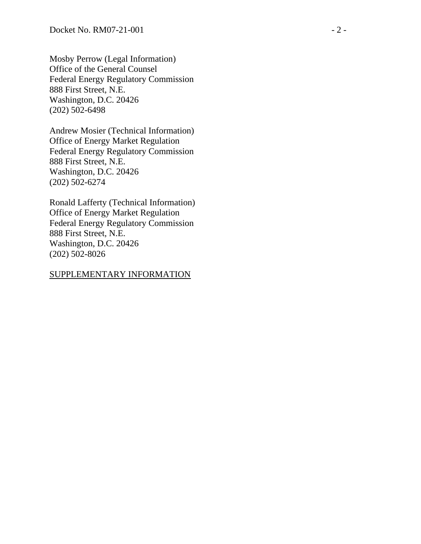Mosby Perrow (Legal Information) Office of the General Counsel Federal Energy Regulatory Commission 888 First Street, N.E. Washington, D.C. 20426 (202) 502-6498

Andrew Mosier (Technical Information) Office of Energy Market Regulation Federal Energy Regulatory Commission 888 First Street, N.E. Washington, D.C. 20426 (202) 502-6274

Ronald Lafferty (Technical Information) Office of Energy Market Regulation Federal Energy Regulatory Commission 888 First Street, N.E. Washington, D.C. 20426 (202) 502-8026

## SUPPLEMENTARY INFORMATION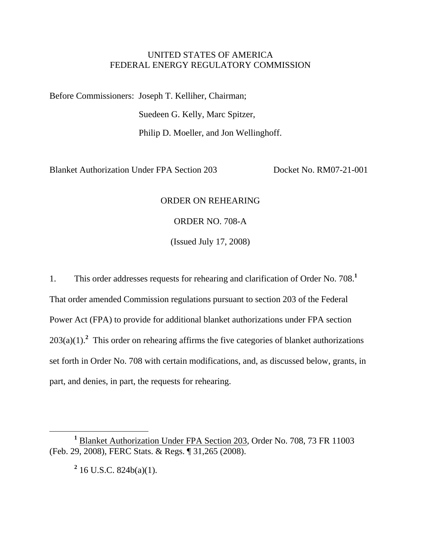## UNITED STATES OF AMERICA FEDERAL ENERGY REGULATORY COMMISSION

Before Commissioners: Joseph T. Kelliher, Chairman;

Suedeen G. Kelly, Marc Spitzer,

Philip D. Moeller, and Jon Wellinghoff.

Blanket Authorization Under FPA Section 203 Docket No. RM07-21-001

# ORDER ON REHEARING

ORDER NO. 708-A

(Issued July 17, 2008)

1. This order addresses requests for rehearing and clarification of Order No. 708.**<sup>1</sup>** That order amended Commission regulations pursuant to section 203 of the Federal Power Act (FPA) to provide for additional blanket authorizations under FPA section  $203(a)(1)$ .<sup>2</sup> This order on rehearing affirms the five categories of blanket authorizations set forth in Order No. 708 with certain modifications, and, as discussed below, grants, in part, and denies, in part, the requests for rehearing.

**2** 16 U.S.C. 824b(a)(1).

<sup>&</sup>lt;u>1</u> <sup>1</sup> Blanket Authorization Under FPA Section 203, Order No. 708, 73 FR 11003 (Feb. 29, 2008), FERC Stats. & Regs. ¶ 31,265 (2008).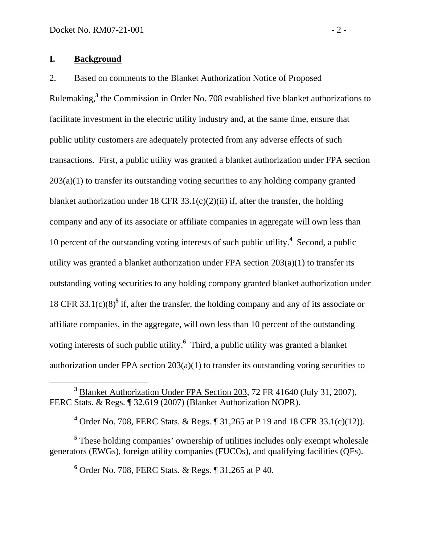## **I. Background**

2. Based on comments to the Blanket Authorization Notice of Proposed Rulemaking,**<sup>3</sup>** the Commission in Order No. 708 established five blanket authorizations to facilitate investment in the electric utility industry and, at the same time, ensure that public utility customers are adequately protected from any adverse effects of such transactions. First, a public utility was granted a blanket authorization under FPA section 203(a)(1) to transfer its outstanding voting securities to any holding company granted blanket authorization under 18 CFR  $33.1(c)(2)(ii)$  if, after the transfer, the holding company and any of its associate or affiliate companies in aggregate will own less than 10 percent of the outstanding voting interests of such public utility.**<sup>4</sup>** Second, a public utility was granted a blanket authorization under FPA section  $203(a)(1)$  to transfer its outstanding voting securities to any holding company granted blanket authorization under 18 CFR 33.1(c)(8)<sup>5</sup> if, after the transfer, the holding company and any of its associate or affiliate companies, in the aggregate, will own less than 10 percent of the outstanding voting interests of such public utility.**<sup>6</sup>** Third, a public utility was granted a blanket authorization under FPA section  $203(a)(1)$  to transfer its outstanding voting securities to

**4** Order No. 708, FERC Stats. & Regs. ¶ 31,265 at P 19 and 18 CFR 33.1(c)(12)).

<sup>5</sup> These holding companies' ownership of utilities includes only exempt wholesale generators (EWGs), foreign utility companies (FUCOs), and qualifying facilities (QFs).

**6** Order No. 708, FERC Stats. & Regs. ¶ 31,265 at P 40.

**<sup>3</sup>** <sup>3</sup> Blanket Authorization Under FPA Section 203, 72 FR 41640 (July 31, 2007), FERC Stats. & Regs. ¶ 32,619 (2007) (Blanket Authorization NOPR).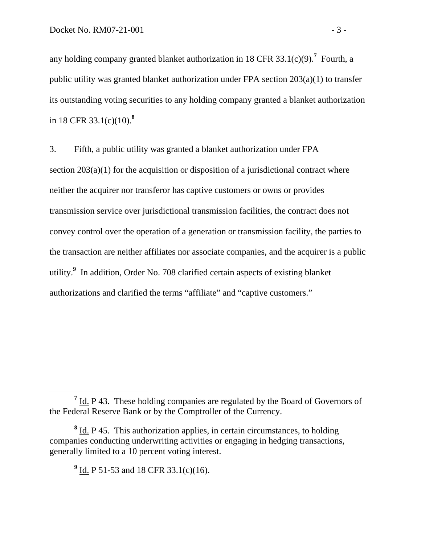any holding company granted blanket authorization in 18 CFR  $33.1(c)(9)$ .<sup>7</sup> Fourth, a public utility was granted blanket authorization under FPA section 203(a)(1) to transfer its outstanding voting securities to any holding company granted a blanket authorization in 18 CFR 33.1(c)(10).**<sup>8</sup>**

3. Fifth, a public utility was granted a blanket authorization under FPA section  $203(a)(1)$  for the acquisition or disposition of a jurisdictional contract where neither the acquirer nor transferor has captive customers or owns or provides transmission service over jurisdictional transmission facilities, the contract does not convey control over the operation of a generation or transmission facility, the parties to the transaction are neither affiliates nor associate companies, and the acquirer is a public utility.**<sup>9</sup>** In addition, Order No. 708 clarified certain aspects of existing blanket authorizations and clarified the terms "affiliate" and "captive customers."

**<sup>7</sup>**  $<sup>7</sup>$  Id. P 43. These holding companies are regulated by the Board of Governors of</sup> the Federal Reserve Bank or by the Comptroller of the Currency.

<sup>&</sup>lt;sup>8</sup> Id. P 45. This authorization applies, in certain circumstances, to holding companies conducting underwriting activities or engaging in hedging transactions, generally limited to a 10 percent voting interest.

<sup>&</sup>lt;sup>9</sup> Id. P 51-53 and 18 CFR 33.1(c)(16).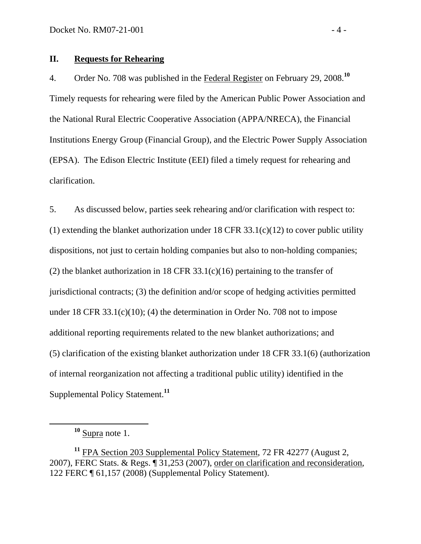### **II. Requests for Rehearing**

4. Order No. 708 was published in the Federal Register on February 29, 2008.**<sup>10</sup>** Timely requests for rehearing were filed by the American Public Power Association and the National Rural Electric Cooperative Association (APPA/NRECA), the Financial Institutions Energy Group (Financial Group), and the Electric Power Supply Association (EPSA). The Edison Electric Institute (EEI) filed a timely request for rehearing and clarification.

5. As discussed below, parties seek rehearing and/or clarification with respect to: (1) extending the blanket authorization under  $18$  CFR  $33.1(c)(12)$  to cover public utility dispositions, not just to certain holding companies but also to non-holding companies; (2) the blanket authorization in 18 CFR 33.1(c)(16) pertaining to the transfer of jurisdictional contracts; (3) the definition and/or scope of hedging activities permitted under 18 CFR 33.1(c)(10); (4) the determination in Order No. 708 not to impose additional reporting requirements related to the new blanket authorizations; and (5) clarification of the existing blanket authorization under 18 CFR 33.1(6) (authorization of internal reorganization not affecting a traditional public utility) identified in the Supplemental Policy Statement.**<sup>11</sup>**

**<sup>10</sup>** Supra note 1.

**<sup>11</sup>** FPA Section 203 Supplemental Policy Statement, 72 FR 42277 (August 2, 2007), FERC Stats. & Regs. ¶ 31,253 (2007), order on clarification and reconsideration, 122 FERC ¶ 61,157 (2008) (Supplemental Policy Statement).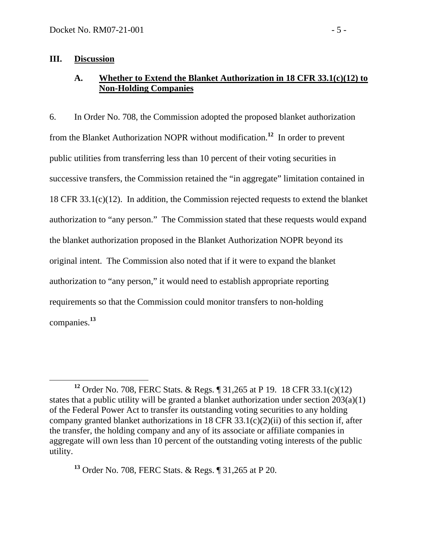#### **III. Discussion**

# **A. Whether to Extend the Blanket Authorization in 18 CFR 33.1(c)(12) to Non-Holding Companies**

6. In Order No. 708, the Commission adopted the proposed blanket authorization from the Blanket Authorization NOPR without modification.**<sup>12</sup>** In order to prevent public utilities from transferring less than 10 percent of their voting securities in successive transfers, the Commission retained the "in aggregate" limitation contained in 18 CFR 33.1(c)(12). In addition, the Commission rejected requests to extend the blanket authorization to "any person." The Commission stated that these requests would expand the blanket authorization proposed in the Blanket Authorization NOPR beyond its original intent. The Commission also noted that if it were to expand the blanket authorization to "any person," it would need to establish appropriate reporting requirements so that the Commission could monitor transfers to non-holding companies.**<sup>13</sup>**

**<sup>13</sup>** Order No. 708, FERC Stats. & Regs. ¶ 31,265 at P 20.

**<sup>12</sup>** Order No. 708, FERC Stats. & Regs. ¶ 31,265 at P 19. 18 CFR 33.1(c)(12) states that a public utility will be granted a blanket authorization under section  $203(a)(1)$ of the Federal Power Act to transfer its outstanding voting securities to any holding company granted blanket authorizations in 18 CFR  $33.1(c)(2)(ii)$  of this section if, after the transfer, the holding company and any of its associate or affiliate companies in aggregate will own less than 10 percent of the outstanding voting interests of the public utility.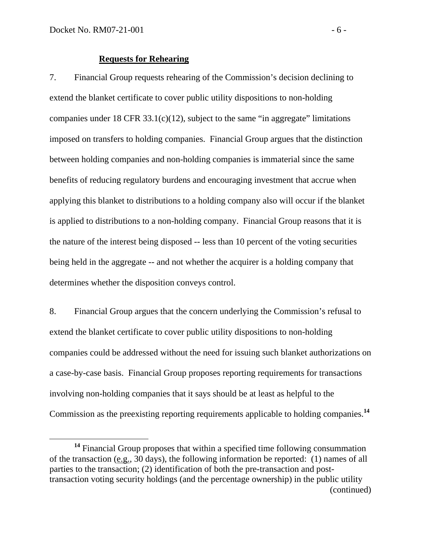#### **Requests for Rehearing**

7. Financial Group requests rehearing of the Commission's decision declining to extend the blanket certificate to cover public utility dispositions to non-holding companies under 18 CFR 33.1(c)(12), subject to the same "in aggregate" limitations imposed on transfers to holding companies. Financial Group argues that the distinction between holding companies and non-holding companies is immaterial since the same benefits of reducing regulatory burdens and encouraging investment that accrue when applying this blanket to distributions to a holding company also will occur if the blanket is applied to distributions to a non-holding company. Financial Group reasons that it is the nature of the interest being disposed -- less than 10 percent of the voting securities being held in the aggregate -- and not whether the acquirer is a holding company that determines whether the disposition conveys control.

8. Financial Group argues that the concern underlying the Commission's refusal to extend the blanket certificate to cover public utility dispositions to non-holding companies could be addressed without the need for issuing such blanket authorizations on a case-by-case basis. Financial Group proposes reporting requirements for transactions involving non-holding companies that it says should be at least as helpful to the Commission as the preexisting reporting requirements applicable to holding companies.**<sup>14</sup>**

**<sup>14</sup>** Financial Group proposes that within a specified time following consummation of the transaction (e.g., 30 days), the following information be reported: (1) names of all parties to the transaction; (2) identification of both the pre-transaction and posttransaction voting security holdings (and the percentage ownership) in the public utility (continued)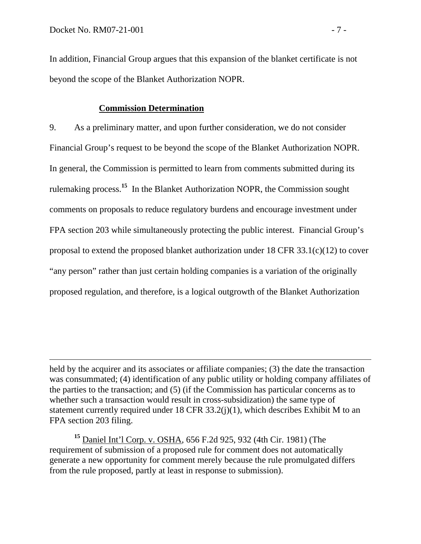$\overline{a}$ 

In addition, Financial Group argues that this expansion of the blanket certificate is not beyond the scope of the Blanket Authorization NOPR.

#### **Commission Determination**

9. As a preliminary matter, and upon further consideration, we do not consider Financial Group's request to be beyond the scope of the Blanket Authorization NOPR. In general, the Commission is permitted to learn from comments submitted during its rulemaking process.**<sup>15</sup>** In the Blanket Authorization NOPR, the Commission sought comments on proposals to reduce regulatory burdens and encourage investment under FPA section 203 while simultaneously protecting the public interest. Financial Group's proposal to extend the proposed blanket authorization under 18 CFR 33.1(c)(12) to cover "any person" rather than just certain holding companies is a variation of the originally proposed regulation, and therefore, is a logical outgrowth of the Blanket Authorization

**<sup>15</sup>** Daniel Int'l Corp. v. OSHA, 656 F.2d 925, 932 (4th Cir. 1981) (The requirement of submission of a proposed rule for comment does not automatically generate a new opportunity for comment merely because the rule promulgated differs from the rule proposed, partly at least in response to submission).

held by the acquirer and its associates or affiliate companies; (3) the date the transaction was consummated; (4) identification of any public utility or holding company affiliates of the parties to the transaction; and (5) (if the Commission has particular concerns as to whether such a transaction would result in cross-subsidization) the same type of statement currently required under 18 CFR  $33.2(j)(1)$ , which describes Exhibit M to an FPA section 203 filing.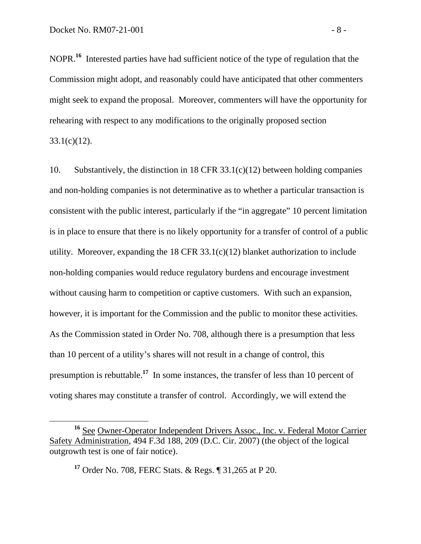NOPR.**<sup>16</sup>** Interested parties have had sufficient notice of the type of regulation that the Commission might adopt, and reasonably could have anticipated that other commenters might seek to expand the proposal. Moreover, commenters will have the opportunity for rehearing with respect to any modifications to the originally proposed section  $33.1(c)(12)$ .

10. Substantively, the distinction in 18 CFR 33.1(c)(12) between holding companies and non-holding companies is not determinative as to whether a particular transaction is consistent with the public interest, particularly if the "in aggregate" 10 percent limitation is in place to ensure that there is no likely opportunity for a transfer of control of a public utility. Moreover, expanding the  $18$  CFR  $33.1(c)(12)$  blanket authorization to include non-holding companies would reduce regulatory burdens and encourage investment without causing harm to competition or captive customers. With such an expansion, however, it is important for the Commission and the public to monitor these activities. As the Commission stated in Order No. 708, although there is a presumption that less than 10 percent of a utility's shares will not result in a change of control, this presumption is rebuttable.**<sup>17</sup>** In some instances, the transfer of less than 10 percent of voting shares may constitute a transfer of control. Accordingly, we will extend the

**<sup>16</sup>** See Owner-Operator Independent Drivers Assoc., Inc. v. Federal Motor Carrier Safety Administration, 494 F.3d 188, 209 (D.C. Cir. 2007) (the object of the logical outgrowth test is one of fair notice).

**<sup>17</sup>** Order No. 708, FERC Stats. & Regs. ¶ 31,265 at P 20.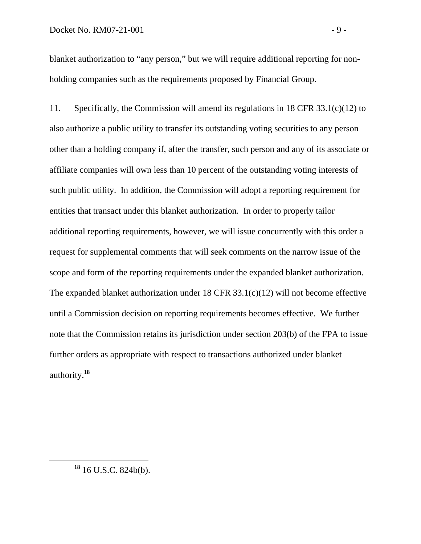blanket authorization to "any person," but we will require additional reporting for nonholding companies such as the requirements proposed by Financial Group.

11. Specifically, the Commission will amend its regulations in 18 CFR 33.1(c)(12) to also authorize a public utility to transfer its outstanding voting securities to any person other than a holding company if, after the transfer, such person and any of its associate or affiliate companies will own less than 10 percent of the outstanding voting interests of such public utility. In addition, the Commission will adopt a reporting requirement for entities that transact under this blanket authorization. In order to properly tailor additional reporting requirements, however, we will issue concurrently with this order a request for supplemental comments that will seek comments on the narrow issue of the scope and form of the reporting requirements under the expanded blanket authorization. The expanded blanket authorization under 18 CFR 33.1(c)(12) will not become effective until a Commission decision on reporting requirements becomes effective. We further note that the Commission retains its jurisdiction under section 203(b) of the FPA to issue further orders as appropriate with respect to transactions authorized under blanket authority.**<sup>18</sup>**

**<sup>18</sup>** 16 U.S.C. 824b(b).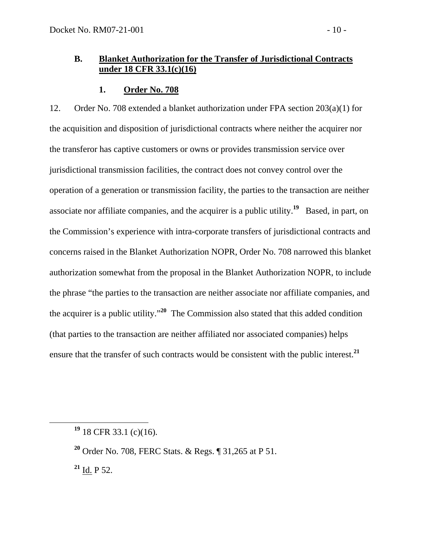# **B. Blanket Authorization for the Transfer of Jurisdictional Contracts under 18 CFR 33.1(c)(16)**

## **1. Order No. 708**

12. Order No. 708 extended a blanket authorization under FPA section 203(a)(1) for the acquisition and disposition of jurisdictional contracts where neither the acquirer nor the transferor has captive customers or owns or provides transmission service over jurisdictional transmission facilities, the contract does not convey control over the operation of a generation or transmission facility, the parties to the transaction are neither associate nor affiliate companies, and the acquirer is a public utility.**<sup>19</sup>** Based, in part, on the Commission's experience with intra-corporate transfers of jurisdictional contracts and concerns raised in the Blanket Authorization NOPR, Order No. 708 narrowed this blanket authorization somewhat from the proposal in the Blanket Authorization NOPR, to include the phrase "the parties to the transaction are neither associate nor affiliate companies, and the acquirer is a public utility."**<sup>20</sup>** The Commission also stated that this added condition (that parties to the transaction are neither affiliated nor associated companies) helps ensure that the transfer of such contracts would be consistent with the public interest.**<sup>21</sup>**

**<sup>21</sup>** Id. P 52.

**<sup>19</sup>** 18 CFR 33.1 (c)(16).

**<sup>20</sup>** Order No. 708, FERC Stats. & Regs. ¶ 31,265 at P 51.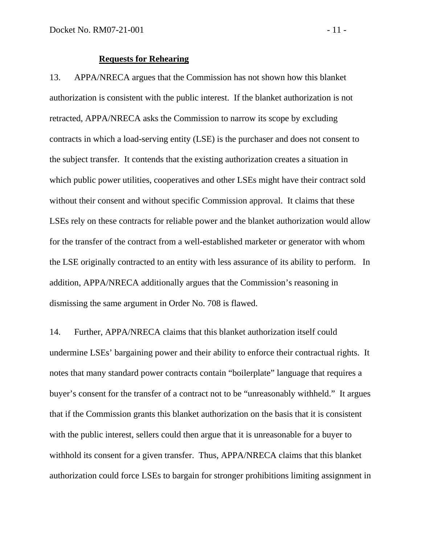#### **Requests for Rehearing**

13. APPA/NRECA argues that the Commission has not shown how this blanket authorization is consistent with the public interest. If the blanket authorization is not retracted, APPA/NRECA asks the Commission to narrow its scope by excluding contracts in which a load-serving entity (LSE) is the purchaser and does not consent to the subject transfer. It contends that the existing authorization creates a situation in which public power utilities, cooperatives and other LSEs might have their contract sold without their consent and without specific Commission approval. It claims that these LSEs rely on these contracts for reliable power and the blanket authorization would allow for the transfer of the contract from a well-established marketer or generator with whom the LSE originally contracted to an entity with less assurance of its ability to perform. In addition, APPA/NRECA additionally argues that the Commission's reasoning in dismissing the same argument in Order No. 708 is flawed.

14. Further, APPA/NRECA claims that this blanket authorization itself could undermine LSEs' bargaining power and their ability to enforce their contractual rights. It notes that many standard power contracts contain "boilerplate" language that requires a buyer's consent for the transfer of a contract not to be "unreasonably withheld." It argues that if the Commission grants this blanket authorization on the basis that it is consistent with the public interest, sellers could then argue that it is unreasonable for a buyer to withhold its consent for a given transfer. Thus, APPA/NRECA claims that this blanket authorization could force LSEs to bargain for stronger prohibitions limiting assignment in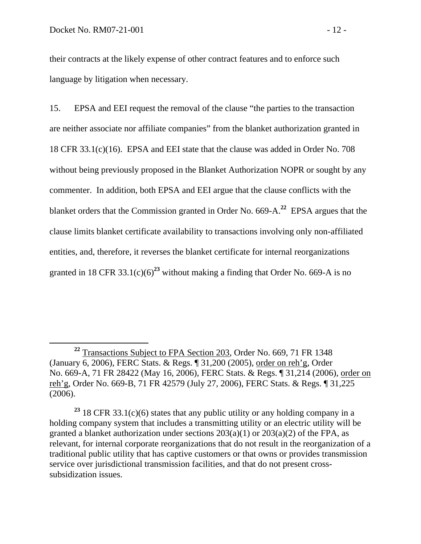their contracts at the likely expense of other contract features and to enforce such language by litigation when necessary.

15. EPSA and EEI request the removal of the clause "the parties to the transaction are neither associate nor affiliate companies" from the blanket authorization granted in 18 CFR 33.1(c)(16). EPSA and EEI state that the clause was added in Order No. 708 without being previously proposed in the Blanket Authorization NOPR or sought by any commenter. In addition, both EPSA and EEI argue that the clause conflicts with the blanket orders that the Commission granted in Order No. 669-A.**<sup>22</sup>** EPSA argues that the clause limits blanket certificate availability to transactions involving only non-affiliated entities, and, therefore, it reverses the blanket certificate for internal reorganizations granted in 18 CFR 33.1(c)(6)<sup>23</sup> without making a finding that Order No. 669-A is no

**<sup>22</sup>** Transactions Subject to FPA Section 203, Order No. 669, 71 FR 1348 (January 6, 2006), FERC Stats. & Regs. ¶ 31,200 (2005), order on reh'g, Order No. 669-A, 71 FR 28422 (May 16, 2006), FERC Stats. & Regs. ¶ 31,214 (2006), order on reh'g, Order No. 669-B, 71 FR 42579 (July 27, 2006), FERC Stats. & Regs. ¶ 31,225 (2006).

**<sup>23</sup>** 18 CFR 33.1(c)(6) states that any public utility or any holding company in a holding company system that includes a transmitting utility or an electric utility will be granted a blanket authorization under sections  $203(a)(1)$  or  $203(a)(2)$  of the FPA, as relevant, for internal corporate reorganizations that do not result in the reorganization of a traditional public utility that has captive customers or that owns or provides transmission service over jurisdictional transmission facilities, and that do not present crosssubsidization issues.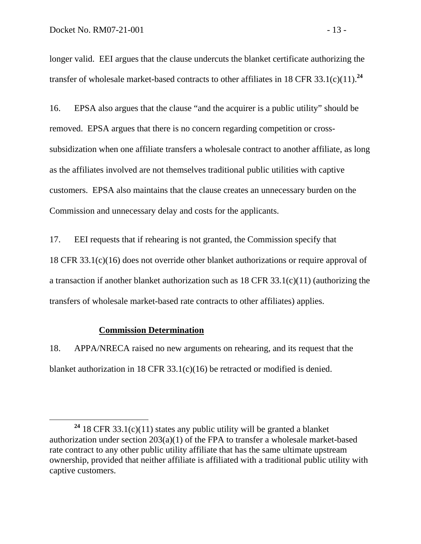longer valid. EEI argues that the clause undercuts the blanket certificate authorizing the transfer of wholesale market-based contracts to other affiliates in 18 CFR 33.1(c)(11).**<sup>24</sup>**

16. EPSA also argues that the clause "and the acquirer is a public utility" should be removed. EPSA argues that there is no concern regarding competition or crosssubsidization when one affiliate transfers a wholesale contract to another affiliate, as long as the affiliates involved are not themselves traditional public utilities with captive customers. EPSA also maintains that the clause creates an unnecessary burden on the Commission and unnecessary delay and costs for the applicants.

17. EEI requests that if rehearing is not granted, the Commission specify that 18 CFR 33.1(c)(16) does not override other blanket authorizations or require approval of a transaction if another blanket authorization such as 18 CFR 33.1(c)(11) (authorizing the transfers of wholesale market-based rate contracts to other affiliates) applies.

#### **Commission Determination**

18. APPA/NRECA raised no new arguments on rehearing, and its request that the blanket authorization in 18 CFR 33.1(c)(16) be retracted or modified is denied.

**<sup>24</sup>** 18 CFR 33.1(c)(11) states any public utility will be granted a blanket authorization under section 203(a)(1) of the FPA to transfer a wholesale market-based rate contract to any other public utility affiliate that has the same ultimate upstream ownership, provided that neither affiliate is affiliated with a traditional public utility with captive customers.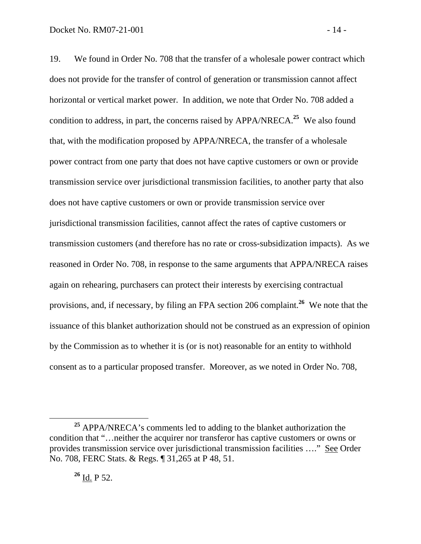19. We found in Order No. 708 that the transfer of a wholesale power contract which does not provide for the transfer of control of generation or transmission cannot affect horizontal or vertical market power. In addition, we note that Order No. 708 added a condition to address, in part, the concerns raised by APPA/NRECA.**<sup>25</sup>** We also found that, with the modification proposed by APPA/NRECA, the transfer of a wholesale power contract from one party that does not have captive customers or own or provide transmission service over jurisdictional transmission facilities, to another party that also does not have captive customers or own or provide transmission service over jurisdictional transmission facilities, cannot affect the rates of captive customers or transmission customers (and therefore has no rate or cross-subsidization impacts). As we reasoned in Order No. 708, in response to the same arguments that APPA/NRECA raises again on rehearing, purchasers can protect their interests by exercising contractual provisions, and, if necessary, by filing an FPA section 206 complaint.**<sup>26</sup>** We note that the issuance of this blanket authorization should not be construed as an expression of opinion by the Commission as to whether it is (or is not) reasonable for an entity to withhold consent as to a particular proposed transfer. Moreover, as we noted in Order No. 708,

**<sup>25</sup>** APPA/NRECA's comments led to adding to the blanket authorization the condition that "…neither the acquirer nor transferor has captive customers or owns or provides transmission service over jurisdictional transmission facilities …." See Order No. 708, FERC Stats. & Regs. ¶ 31,265 at P 48, 51.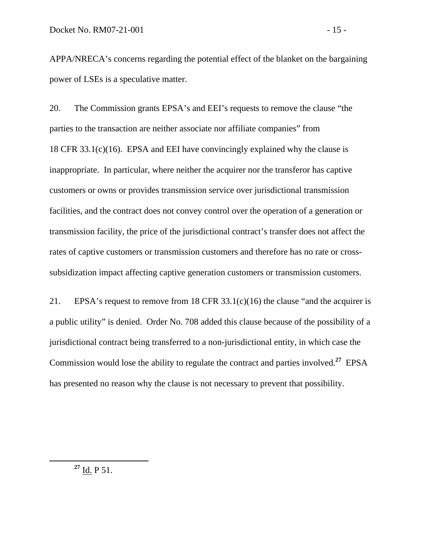APPA/NRECA's concerns regarding the potential effect of the blanket on the bargaining power of LSEs is a speculative matter.

20. The Commission grants EPSA's and EEI's requests to remove the clause "the parties to the transaction are neither associate nor affiliate companies" from 18 CFR 33.1(c)(16). EPSA and EEI have convincingly explained why the clause is inappropriate. In particular, where neither the acquirer nor the transferor has captive customers or owns or provides transmission service over jurisdictional transmission facilities, and the contract does not convey control over the operation of a generation or transmission facility, the price of the jurisdictional contract's transfer does not affect the rates of captive customers or transmission customers and therefore has no rate or crosssubsidization impact affecting captive generation customers or transmission customers.

21. EPSA's request to remove from 18 CFR 33.1(c)(16) the clause "and the acquirer is a public utility" is denied. Order No. 708 added this clause because of the possibility of a jurisdictional contract being transferred to a non-jurisdictional entity, in which case the Commission would lose the ability to regulate the contract and parties involved.**<sup>27</sup>** EPSA has presented no reason why the clause is not necessary to prevent that possibility.

**<sup>27</sup>** Id. P 51.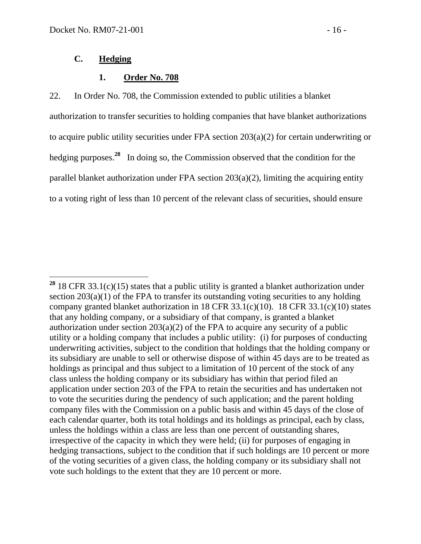## **C. Hedging**

## **1. Order No. 708**

22. In Order No. 708, the Commission extended to public utilities a blanket authorization to transfer securities to holding companies that have blanket authorizations to acquire public utility securities under FPA section 203(a)(2) for certain underwriting or hedging purposes.**<sup>28</sup>** In doing so, the Commission observed that the condition for the parallel blanket authorization under FPA section 203(a)(2), limiting the acquiring entity to a voting right of less than 10 percent of the relevant class of securities, should ensure

 $\overline{a}$ **<sup>28</sup>** 18 CFR 33.1(c)(15) states that a public utility is granted a blanket authorization under section  $203(a)(1)$  of the FPA to transfer its outstanding voting securities to any holding company granted blanket authorization in 18 CFR 33.1(c)(10). 18 CFR 33.1(c)(10) states that any holding company, or a subsidiary of that company, is granted a blanket authorization under section 203(a)(2) of the FPA to acquire any security of a public utility or a holding company that includes a public utility: (i) for purposes of conducting underwriting activities, subject to the condition that holdings that the holding company or its subsidiary are unable to sell or otherwise dispose of within 45 days are to be treated as holdings as principal and thus subject to a limitation of 10 percent of the stock of any class unless the holding company or its subsidiary has within that period filed an application under section 203 of the FPA to retain the securities and has undertaken not to vote the securities during the pendency of such application; and the parent holding company files with the Commission on a public basis and within 45 days of the close of each calendar quarter, both its total holdings and its holdings as principal, each by class, unless the holdings within a class are less than one percent of outstanding shares, irrespective of the capacity in which they were held; (ii) for purposes of engaging in hedging transactions, subject to the condition that if such holdings are 10 percent or more of the voting securities of a given class, the holding company or its subsidiary shall not vote such holdings to the extent that they are 10 percent or more.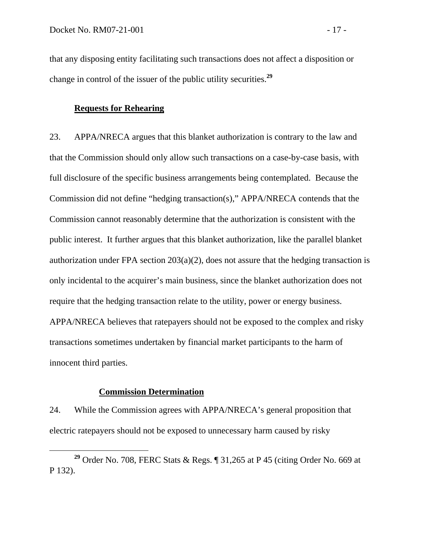that any disposing entity facilitating such transactions does not affect a disposition or change in control of the issuer of the public utility securities.**<sup>29</sup>**

## **Requests for Rehearing**

23. APPA/NRECA argues that this blanket authorization is contrary to the law and that the Commission should only allow such transactions on a case-by-case basis, with full disclosure of the specific business arrangements being contemplated. Because the Commission did not define "hedging transaction(s)," APPA/NRECA contends that the Commission cannot reasonably determine that the authorization is consistent with the public interest. It further argues that this blanket authorization, like the parallel blanket authorization under FPA section  $203(a)(2)$ , does not assure that the hedging transaction is only incidental to the acquirer's main business, since the blanket authorization does not require that the hedging transaction relate to the utility, power or energy business. APPA/NRECA believes that ratepayers should not be exposed to the complex and risky transactions sometimes undertaken by financial market participants to the harm of innocent third parties.

#### **Commission Determination**

24. While the Commission agrees with APPA/NRECA's general proposition that electric ratepayers should not be exposed to unnecessary harm caused by risky

**<sup>29</sup>** Order No. 708, FERC Stats & Regs. ¶ 31,265 at P 45 (citing Order No. 669 at P 132).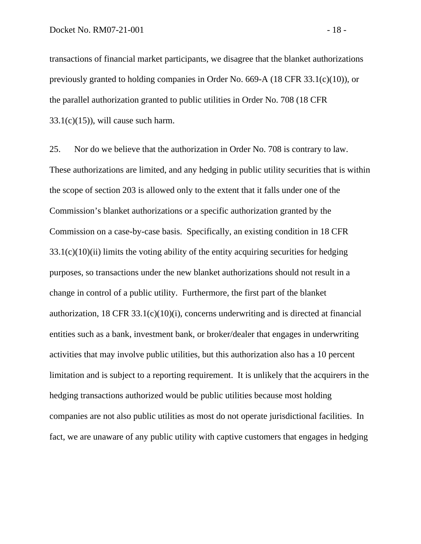transactions of financial market participants, we disagree that the blanket authorizations previously granted to holding companies in Order No. 669-A (18 CFR 33.1(c)(10)), or the parallel authorization granted to public utilities in Order No. 708 (18 CFR  $33.1(c)(15)$ , will cause such harm.

25. Nor do we believe that the authorization in Order No. 708 is contrary to law. These authorizations are limited, and any hedging in public utility securities that is within the scope of section 203 is allowed only to the extent that it falls under one of the Commission's blanket authorizations or a specific authorization granted by the Commission on a case-by-case basis. Specifically, an existing condition in 18 CFR  $33.1(c)(10)(ii)$  limits the voting ability of the entity acquiring securities for hedging purposes, so transactions under the new blanket authorizations should not result in a change in control of a public utility. Furthermore, the first part of the blanket authorization,  $18$  CFR  $33.1(c)(10)(i)$ , concerns underwriting and is directed at financial entities such as a bank, investment bank, or broker/dealer that engages in underwriting activities that may involve public utilities, but this authorization also has a 10 percent limitation and is subject to a reporting requirement. It is unlikely that the acquirers in the hedging transactions authorized would be public utilities because most holding companies are not also public utilities as most do not operate jurisdictional facilities. In fact, we are unaware of any public utility with captive customers that engages in hedging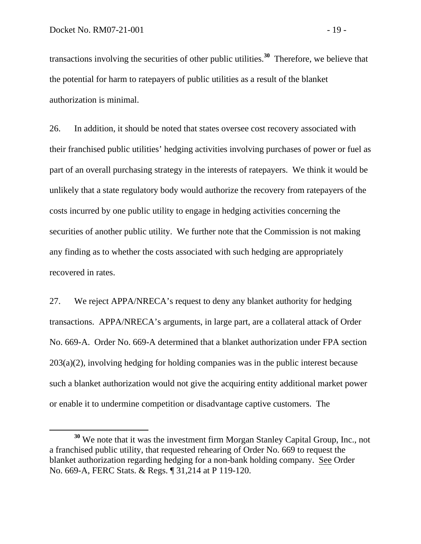transactions involving the securities of other public utilities.**<sup>30</sup>** Therefore, we believe that the potential for harm to ratepayers of public utilities as a result of the blanket authorization is minimal.

26. In addition, it should be noted that states oversee cost recovery associated with their franchised public utilities' hedging activities involving purchases of power or fuel as part of an overall purchasing strategy in the interests of ratepayers. We think it would be unlikely that a state regulatory body would authorize the recovery from ratepayers of the costs incurred by one public utility to engage in hedging activities concerning the securities of another public utility. We further note that the Commission is not making any finding as to whether the costs associated with such hedging are appropriately recovered in rates.

27. We reject APPA/NRECA's request to deny any blanket authority for hedging transactions. APPA/NRECA's arguments, in large part, are a collateral attack of Order No. 669-A. Order No. 669-A determined that a blanket authorization under FPA section 203(a)(2), involving hedging for holding companies was in the public interest because such a blanket authorization would not give the acquiring entity additional market power or enable it to undermine competition or disadvantage captive customers. The

**<sup>30</sup>** We note that it was the investment firm Morgan Stanley Capital Group, Inc., not a franchised public utility, that requested rehearing of Order No. 669 to request the blanket authorization regarding hedging for a non-bank holding company. See Order No. 669-A, FERC Stats. & Regs. ¶ 31,214 at P 119-120.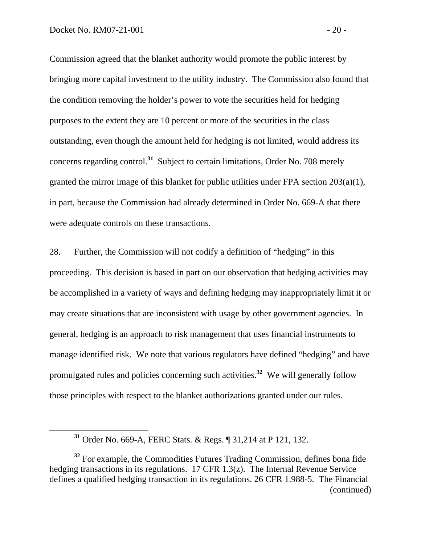Commission agreed that the blanket authority would promote the public interest by bringing more capital investment to the utility industry. The Commission also found that the condition removing the holder's power to vote the securities held for hedging purposes to the extent they are 10 percent or more of the securities in the class outstanding, even though the amount held for hedging is not limited, would address its concerns regarding control.**<sup>31</sup>** Subject to certain limitations, Order No. 708 merely granted the mirror image of this blanket for public utilities under FPA section 203(a)(1), in part, because the Commission had already determined in Order No. 669-A that there were adequate controls on these transactions.

28. Further, the Commission will not codify a definition of "hedging" in this proceeding. This decision is based in part on our observation that hedging activities may be accomplished in a variety of ways and defining hedging may inappropriately limit it or may create situations that are inconsistent with usage by other government agencies. In general, hedging is an approach to risk management that uses financial instruments to manage identified risk. We note that various regulators have defined "hedging" and have promulgated rules and policies concerning such activities.**<sup>32</sup>** We will generally follow those principles with respect to the blanket authorizations granted under our rules.

**<sup>31</sup>** Order No. 669-A, FERC Stats. & Regs. ¶ 31,214 at P 121, 132.

<sup>&</sup>lt;sup>32</sup> For example, the Commodities Futures Trading Commission, defines bona fide hedging transactions in its regulations. 17 CFR 1.3(z). The Internal Revenue Service defines a qualified hedging transaction in its regulations. 26 CFR 1.988-5. The Financial (continued)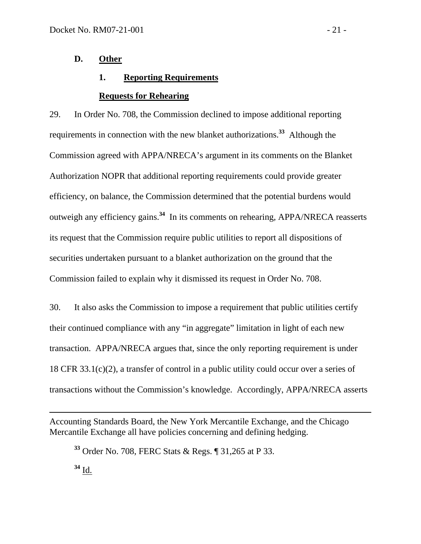## **D. Other**

## **1. Reporting Requirements**

#### **Requests for Rehearing**

29. In Order No. 708, the Commission declined to impose additional reporting requirements in connection with the new blanket authorizations.**<sup>33</sup>** Although the Commission agreed with APPA/NRECA's argument in its comments on the Blanket Authorization NOPR that additional reporting requirements could provide greater efficiency, on balance, the Commission determined that the potential burdens would outweigh any efficiency gains.**<sup>34</sup>** In its comments on rehearing, APPA/NRECA reasserts its request that the Commission require public utilities to report all dispositions of securities undertaken pursuant to a blanket authorization on the ground that the Commission failed to explain why it dismissed its request in Order No. 708.

30. It also asks the Commission to impose a requirement that public utilities certify their continued compliance with any "in aggregate" limitation in light of each new transaction. APPA/NRECA argues that, since the only reporting requirement is under 18 CFR 33.1(c)(2), a transfer of control in a public utility could occur over a series of transactions without the Commission's knowledge. Accordingly, APPA/NRECA asserts

Accounting Standards Board, the New York Mercantile Exchange, and the Chicago Mercantile Exchange all have policies concerning and defining hedging.

**<sup>33</sup>** Order No. 708, FERC Stats & Regs. ¶ 31,265 at P 33.

**<sup>34</sup>** Id.

 $\overline{a}$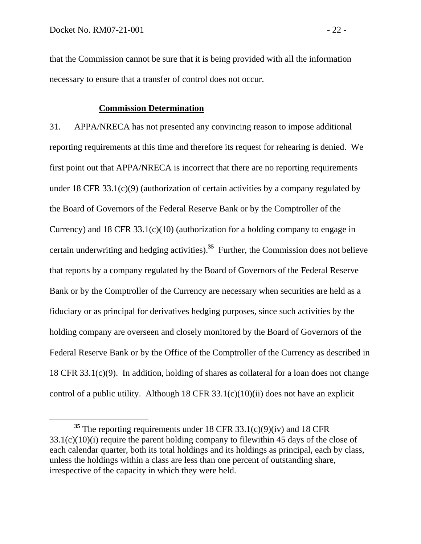that the Commission cannot be sure that it is being provided with all the information necessary to ensure that a transfer of control does not occur.

#### **Commission Determination**

31. APPA/NRECA has not presented any convincing reason to impose additional reporting requirements at this time and therefore its request for rehearing is denied. We first point out that APPA/NRECA is incorrect that there are no reporting requirements under 18 CFR 33.1(c)(9) (authorization of certain activities by a company regulated by the Board of Governors of the Federal Reserve Bank or by the Comptroller of the Currency) and 18 CFR 33.1(c)(10) (authorization for a holding company to engage in certain underwriting and hedging activities).**<sup>35</sup>** Further, the Commission does not believe that reports by a company regulated by the Board of Governors of the Federal Reserve Bank or by the Comptroller of the Currency are necessary when securities are held as a fiduciary or as principal for derivatives hedging purposes, since such activities by the holding company are overseen and closely monitored by the Board of Governors of the Federal Reserve Bank or by the Office of the Comptroller of the Currency as described in 18 CFR 33.1(c)(9). In addition, holding of shares as collateral for a loan does not change control of a public utility. Although 18 CFR  $33.1(c)(10)(ii)$  does not have an explicit

**<sup>35</sup>** The reporting requirements under 18 CFR 33.1(c)(9)(iv) and 18 CFR 33.1(c)(10)(i) require the parent holding company to filewithin 45 days of the close of each calendar quarter, both its total holdings and its holdings as principal, each by class, unless the holdings within a class are less than one percent of outstanding share, irrespective of the capacity in which they were held.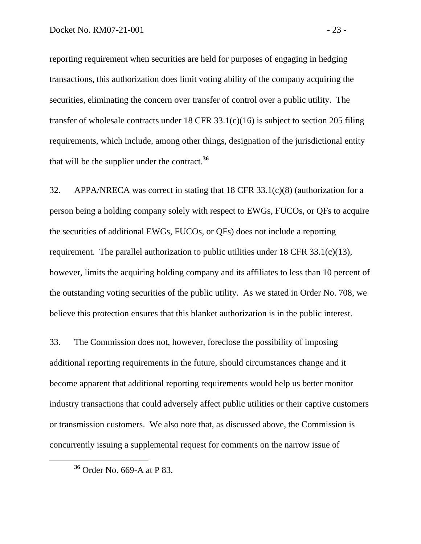reporting requirement when securities are held for purposes of engaging in hedging transactions, this authorization does limit voting ability of the company acquiring the securities, eliminating the concern over transfer of control over a public utility. The transfer of wholesale contracts under 18 CFR 33.1(c)(16) is subject to section 205 filing requirements, which include, among other things, designation of the jurisdictional entity that will be the supplier under the contract.**<sup>36</sup>**

32. APPA/NRECA was correct in stating that 18 CFR 33.1(c)(8) (authorization for a person being a holding company solely with respect to EWGs, FUCOs, or QFs to acquire the securities of additional EWGs, FUCOs, or QFs) does not include a reporting requirement. The parallel authorization to public utilities under 18 CFR 33.1(c)(13), however, limits the acquiring holding company and its affiliates to less than 10 percent of the outstanding voting securities of the public utility. As we stated in Order No. 708, we believe this protection ensures that this blanket authorization is in the public interest.

33. The Commission does not, however, foreclose the possibility of imposing additional reporting requirements in the future, should circumstances change and it become apparent that additional reporting requirements would help us better monitor industry transactions that could adversely affect public utilities or their captive customers or transmission customers. We also note that, as discussed above, the Commission is concurrently issuing a supplemental request for comments on the narrow issue of

**<sup>36</sup>** Order No. 669-A at P 83.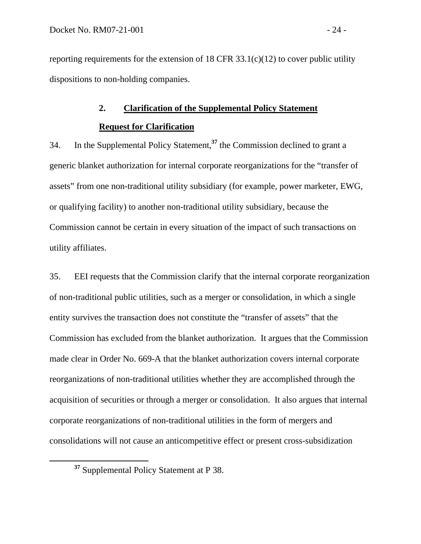reporting requirements for the extension of 18 CFR  $33.1(c)(12)$  to cover public utility dispositions to non-holding companies.

## **2. Clarification of the Supplemental Policy Statement**

## **Request for Clarification**

34. In the Supplemental Policy Statement,**<sup>37</sup>** the Commission declined to grant a generic blanket authorization for internal corporate reorganizations for the "transfer of assets" from one non-traditional utility subsidiary (for example, power marketer, EWG, or qualifying facility) to another non-traditional utility subsidiary, because the Commission cannot be certain in every situation of the impact of such transactions on utility affiliates.

35. EEI requests that the Commission clarify that the internal corporate reorganization of non-traditional public utilities, such as a merger or consolidation, in which a single entity survives the transaction does not constitute the "transfer of assets" that the Commission has excluded from the blanket authorization. It argues that the Commission made clear in Order No. 669-A that the blanket authorization covers internal corporate reorganizations of non-traditional utilities whether they are accomplished through the acquisition of securities or through a merger or consolidation. It also argues that internal corporate reorganizations of non-traditional utilities in the form of mergers and consolidations will not cause an anticompetitive effect or present cross-subsidization

**<sup>37</sup>** Supplemental Policy Statement at P 38.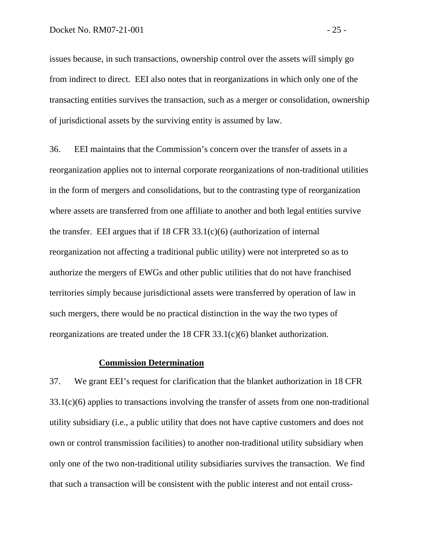issues because, in such transactions, ownership control over the assets will simply go from indirect to direct. EEI also notes that in reorganizations in which only one of the transacting entities survives the transaction, such as a merger or consolidation, ownership of jurisdictional assets by the surviving entity is assumed by law.

36. EEI maintains that the Commission's concern over the transfer of assets in a reorganization applies not to internal corporate reorganizations of non-traditional utilities in the form of mergers and consolidations, but to the contrasting type of reorganization where assets are transferred from one affiliate to another and both legal entities survive the transfer. EEI argues that if  $18$  CFR  $33.1(c)(6)$  (authorization of internal reorganization not affecting a traditional public utility) were not interpreted so as to authorize the mergers of EWGs and other public utilities that do not have franchised territories simply because jurisdictional assets were transferred by operation of law in such mergers, there would be no practical distinction in the way the two types of reorganizations are treated under the 18 CFR 33.1(c)(6) blanket authorization.

#### **Commission Determination**

37. We grant EEI's request for clarification that the blanket authorization in 18 CFR 33.1(c)(6) applies to transactions involving the transfer of assets from one non-traditional utility subsidiary (i.e., a public utility that does not have captive customers and does not own or control transmission facilities) to another non-traditional utility subsidiary when only one of the two non-traditional utility subsidiaries survives the transaction. We find that such a transaction will be consistent with the public interest and not entail cross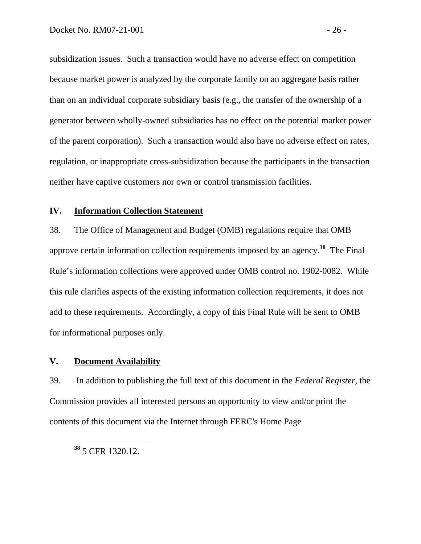subsidization issues. Such a transaction would have no adverse effect on competition because market power is analyzed by the corporate family on an aggregate basis rather than on an individual corporate subsidiary basis (e.g., the transfer of the ownership of a generator between wholly-owned subsidiaries has no effect on the potential market power of the parent corporation). Such a transaction would also have no adverse effect on rates, regulation, or inappropriate cross-subsidization because the participants in the transaction neither have captive customers nor own or control transmission facilities.

## **IV. Information Collection Statement**

38. The Office of Management and Budget (OMB) regulations require that OMB approve certain information collection requirements imposed by an agency.**<sup>38</sup>** The Final Rule's information collections were approved under OMB control no. 1902-0082. While this rule clarifies aspects of the existing information collection requirements, it does not add to these requirements. Accordingly, a copy of this Final Rule will be sent to OMB for informational purposes only.

## **V. Document Availability**

39. In addition to publishing the full text of this document in the *Federal Register*, the Commission provides all interested persons an opportunity to view and/or print the contents of this document via the Internet through FERC's Home Page

**<sup>38</sup>** 5 CFR 1320.12.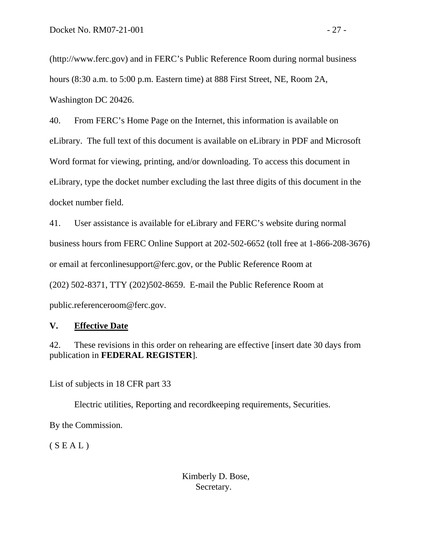(http://www.ferc.gov) and in FERC's Public Reference Room during normal business hours (8:30 a.m. to 5:00 p.m. Eastern time) at 888 First Street, NE, Room 2A, Washington DC 20426.

40. From FERC's Home Page on the Internet, this information is available on eLibrary. The full text of this document is available on eLibrary in PDF and Microsoft Word format for viewing, printing, and/or downloading. To access this document in eLibrary, type the docket number excluding the last three digits of this document in the docket number field.

41. User assistance is available for eLibrary and FERC's website during normal business hours from FERC Online Support at 202-502-6652 (toll free at 1-866-208-3676) or email at ferconlinesupport@ferc.gov, or the Public Reference Room at (202) 502-8371, TTY (202)502-8659. E-mail the Public Reference Room at public.referenceroom@ferc.gov.

# **V. Effective Date**

42. These revisions in this order on rehearing are effective [insert date 30 days from publication in **FEDERAL REGISTER**].

List of subjects in 18 CFR part 33

Electric utilities, Reporting and recordkeeping requirements, Securities.

By the Commission.

 $(S E A L)$ 

# Kimberly D. Bose, Secretary.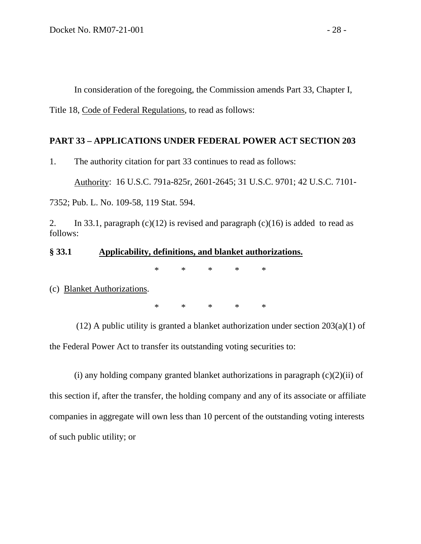In consideration of the foregoing, the Commission amends Part 33, Chapter I,

Title 18, Code of Federal Regulations, to read as follows:

## **PART 33 – APPLICATIONS UNDER FEDERAL POWER ACT SECTION 203**

1. The authority citation for part 33 continues to read as follows:

Authority: 16 U.S.C. 791a-825r, 2601-2645; 31 U.S.C. 9701; 42 U.S.C. 7101-

7352; Pub. L. No. 109-58, 119 Stat. 594.

2. In 33.1, paragraph (c)(12) is revised and paragraph (c)(16) is added to read as follows:

#### **§ 33.1 Applicability, definitions, and blanket authorizations.**

\* \* \* \* \*

(c) Blanket Authorizations.

\* \* \* \* \*

(12) A public utility is granted a blanket authorization under section 203(a)(1) of the Federal Power Act to transfer its outstanding voting securities to:

(i) any holding company granted blanket authorizations in paragraph  $(c)(2)(ii)$  of this section if, after the transfer, the holding company and any of its associate or affiliate companies in aggregate will own less than 10 percent of the outstanding voting interests of such public utility; or